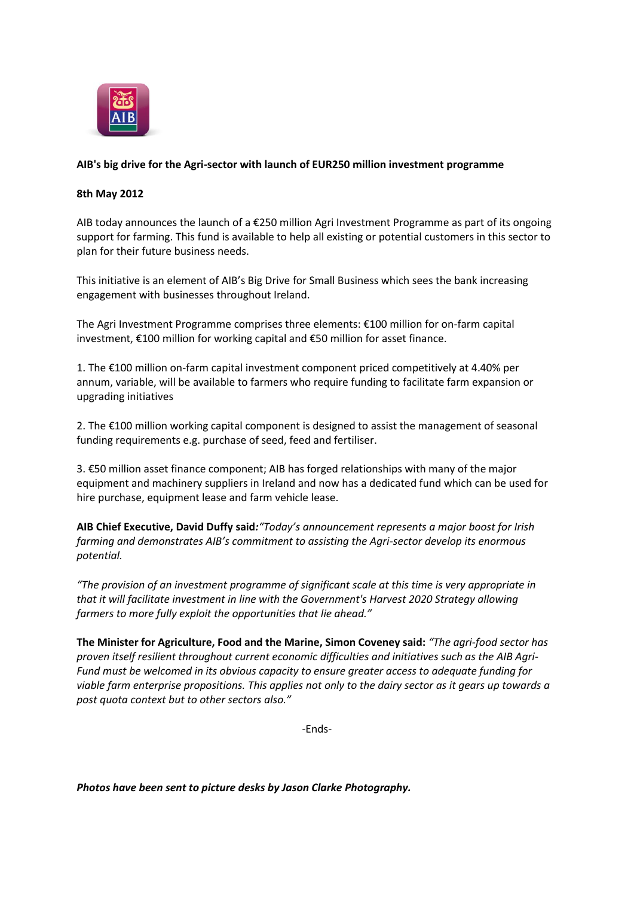

## **AIB's big drive for the Agri-sector with launch of EUR250 million investment programme**

## **8th May 2012**

AIB today announces the launch of a €250 million Agri Investment Programme as part of its ongoing support for farming. This fund is available to help all existing or potential customers in this sector to plan for their future business needs.

This initiative is an element of AIB's Big Drive for Small Business which sees the bank increasing engagement with businesses throughout Ireland.

The Agri Investment Programme comprises three elements: €100 million for on-farm capital investment, €100 million for working capital and €50 million for asset finance.

1. The €100 million on-farm capital investment component priced competitively at 4.40% per annum, variable, will be available to farmers who require funding to facilitate farm expansion or upgrading initiatives

2. The €100 million working capital component is designed to assist the management of seasonal funding requirements e.g. purchase of seed, feed and fertiliser.

3. €50 million asset finance component; AIB has forged relationships with many of the major equipment and machinery suppliers in Ireland and now has a dedicated fund which can be used for hire purchase, equipment lease and farm vehicle lease.

**AIB Chief Executive, David Duffy said***:"Today's announcement represents a major boost for Irish farming and demonstrates AIB's commitment to assisting the Agri-sector develop its enormous potential.*

*"The provision of an investment programme of significant scale at this time is very appropriate in that it will facilitate investment in line with the Government's Harvest 2020 Strategy allowing farmers to more fully exploit the opportunities that lie ahead."*

**The Minister for Agriculture, Food and the Marine, Simon Coveney said:** *"The agri-food sector has proven itself resilient throughout current economic difficulties and initiatives such as the AIB Agri-Fund must be welcomed in its obvious capacity to ensure greater access to adequate funding for viable farm enterprise propositions. This applies not only to the dairy sector as it gears up towards a post quota context but to other sectors also."*

-Ends-

*Photos have been sent to picture desks by Jason Clarke Photography.*